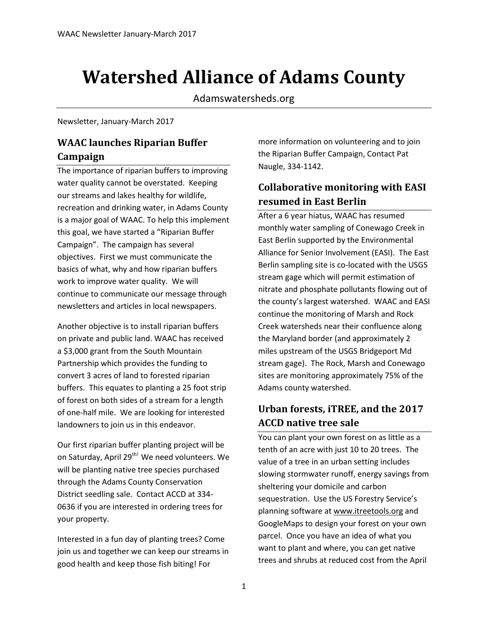# **Watershed Alliance of Adams County**

Adamswatersheds.org

Newsletter, January-March 2017

### **WAAC launches Riparian Buffer Campaign**

The importance of riparian buffers to improving water quality cannot be overstated. Keeping our streams and lakes healthy for wildlife, recreation and drinking water, in Adams County is a major goal of WAAC. To help this implement this goal, we have started a "Riparian Buffer Campaign". The campaign has several objectives. First we must communicate the basics of what, why and how riparian buffers work to improve water quality. We will continue to communicate our message through newsletters and articles in local newspapers.

Another objective is to install riparian buffers on private and public land. WAAC has received a \$3,000 grant from the South Mountain Partnership which provides the funding to convert 3 acres of land to forested riparian buffers. This equates to planting a 25 foot strip of forest on both sides of a stream for a length of one-half mile. We are looking for interested landowners to join us in this endeavor.

Our first riparian buffer planting project will be on Saturday, April 29<sup>th!</sup> We need volunteers. We will be planting native tree species purchased through the Adams County Conservation District seedling sale. Contact ACCD at 334- 0636 if you are interested in ordering trees for your property.

Interested in a fun day of planting trees? Come join us and together we can keep our streams in good health and keep those fish biting! For

more information on volunteering and to join the Riparian Buffer Campaign, Contact Pat Naugle, 334-1142.

### **Collaborative monitoring with EASI resumed in East Berlin**

After a 6 year hiatus, WAAC has resumed monthly water sampling of Conewago Creek in East Berlin supported by the Environmental Alliance for Senior Involvement (EASI). The East Berlin sampling site is co-located with the USGS stream gage which will permit estimation of nitrate and phosphate pollutants flowing out of the county's largest watershed. WAAC and EASI continue the monitoring of Marsh and Rock Creek watersheds near their confluence along the Maryland border (and approximately 2 miles upstream of the USGS Bridgeport Md stream gage). The Rock, Marsh and Conewago sites are monitoring approximately 75% of the Adams county watershed.

## **Urban forests, iTREE, and the 2017 ACCD native tree sale**

You can plant your own forest on as little as a tenth of an acre with just 10 to 20 trees. The value of a tree in an urban setting includes slowing stormwater runoff, energy savings from sheltering your domicile and carbon sequestration. Use the US Forestry Service's planning software at [www.itreetools.org](http://www.itreetools.org/) and GoogleMaps to design your forest on your own parcel. Once you have an idea of what you want to plant and where, you can get native trees and shrubs at reduced cost from the April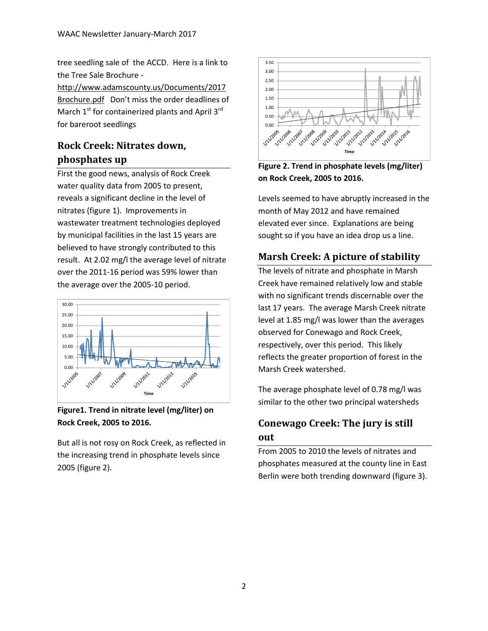tree seedling sale of the ACCD. Here is a link to the Tree Sale Brochure -

[http://www.adamscounty.us/Documents/2017](http://www.adamscounty.us/Documents/2017Brochure.pdf) [Brochure.pdf](http://www.adamscounty.us/Documents/2017Brochure.pdf) Don't miss the order deadlines of March  $1<sup>st</sup>$  for containerized plants and April  $3<sup>rd</sup>$ for bareroot seedlings

## **Rock Creek: Nitrates down, phosphates up**

First the good news, analysis of Rock Creek water quality data from 2005 to present, reveals a significant decline in the level of nitrates (figure 1). Improvements in wastewater treatment technologies deployed by municipal facilities in the last 15 years are believed to have strongly contributed to this result. At 2.02 mg/l the average level of nitrate over the 2011-16 period was 59% lower than the average over the 2005-10 period.



**Figure1. Trend in nitrate level (mg/liter) on Rock Creek, 2005 to 2016.**

But all is not rosy on Rock Creek, as reflected in the increasing trend in phosphate levels since 2005 (figure 2).



**Figure 2. Trend in phosphate levels (mg/liter) on Rock Creek, 2005 to 2016.**

Levels seemed to have abruptly increased in the month of May 2012 and have remained elevated ever since. Explanations are being sought so if you have an idea drop us a line.

## **Marsh Creek: A picture of stability**

The levels of nitrate and phosphate in Marsh Creek have remained relatively low and stable with no significant trends discernable over the last 17 years. The average Marsh Creek nitrate level at 1.85 mg/l was lower than the averages observed for Conewago and Rock Creek, respectively, over this period. This likely reflects the greater proportion of forest in the Marsh Creek watershed.

The average phosphate level of 0.78 mg/l was similar to the other two principal watersheds

## **Conewago Creek: The jury is still out**

From 2005 to 2010 the levels of nitrates and phosphates measured at the county line in East Berlin were both trending downward (figure 3).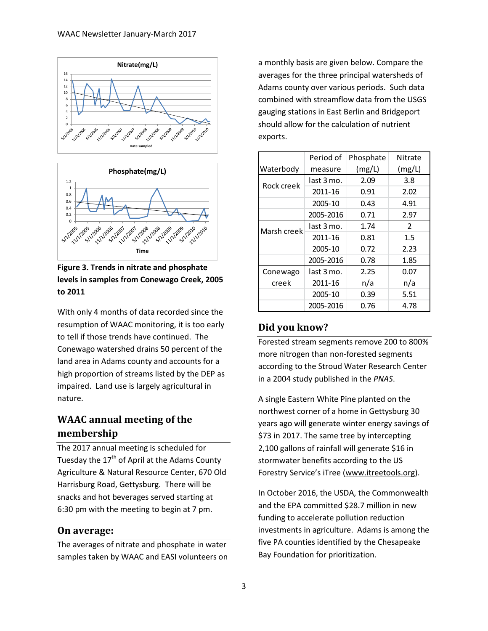



**Figure 3. Trends in nitrate and phosphate levels in samples from Conewago Creek, 2005 to 2011**

With only 4 months of data recorded since the resumption of WAAC monitoring, it is too early to tell if those trends have continued. The Conewago watershed drains 50 percent of the land area in Adams county and accounts for a high proportion of streams listed by the DEP as impaired. Land use is largely agricultural in nature.

### **WAAC annual meeting of the membership**

The 2017 annual meeting is scheduled for Tuesday the  $17<sup>th</sup>$  of April at the Adams County Agriculture & Natural Resource Center, 670 Old Harrisburg Road, Gettysburg. There will be snacks and hot beverages served starting at 6:30 pm with the meeting to begin at 7 pm.

#### **On average:**

The averages of nitrate and phosphate in water samples taken by WAAC and EASI volunteers on a monthly basis are given below. Compare the averages for the three principal watersheds of Adams county over various periods. Such data combined with streamflow data from the USGS gauging stations in East Berlin and Bridgeport should allow for the calculation of nutrient exports.

|             | Period of  | Phosphate | Nitrate       |
|-------------|------------|-----------|---------------|
| Waterbody   | measure    | (mg/L)    | (mg/L)        |
| Rock creek  | last 3 mo. | 2.09      | 3.8           |
|             | 2011-16    | 0.91      | 2.02          |
|             | 2005-10    | 0.43      | 4.91          |
|             | 2005-2016  | 0.71      | 2.97          |
| Marsh creek | last 3 mo. | 1.74      | $\mathcal{P}$ |
|             | 2011-16    | 0.81      | $1.5\,$       |
|             | 2005-10    | 0.72      | 2.23          |
|             | 2005-2016  | 0.78      | 1.85          |
| Conewago    | last 3 mo. | 2.25      | 0.07          |
| creek       | 2011-16    | n/a       | n/a           |
|             | 2005-10    | 0.39      | 5.51          |
|             | 2005-2016  | 0.76      | 4.78          |

#### **Did you know?**

Forested stream segments remove 200 to 800% more nitrogen than non-forested segments according to the Stroud Water Research Center in a 2004 study published in the *PNAS*.

A single Eastern White Pine planted on the northwest corner of a home in Gettysburg 30 years ago will generate winter energy savings of \$73 in 2017. The same tree by intercepting 2,100 gallons of rainfall will generate \$16 in stormwater benefits according to the US Forestry Service's iTree [\(www.itreetools.org\)](http://www.itreetools.org/).

In October 2016, the USDA, the Commonwealth and the EPA committed \$28.7 million in new funding to accelerate pollution reduction investments in agriculture. Adams is among the five PA counties identified by the Chesapeake Bay Foundation for prioritization.